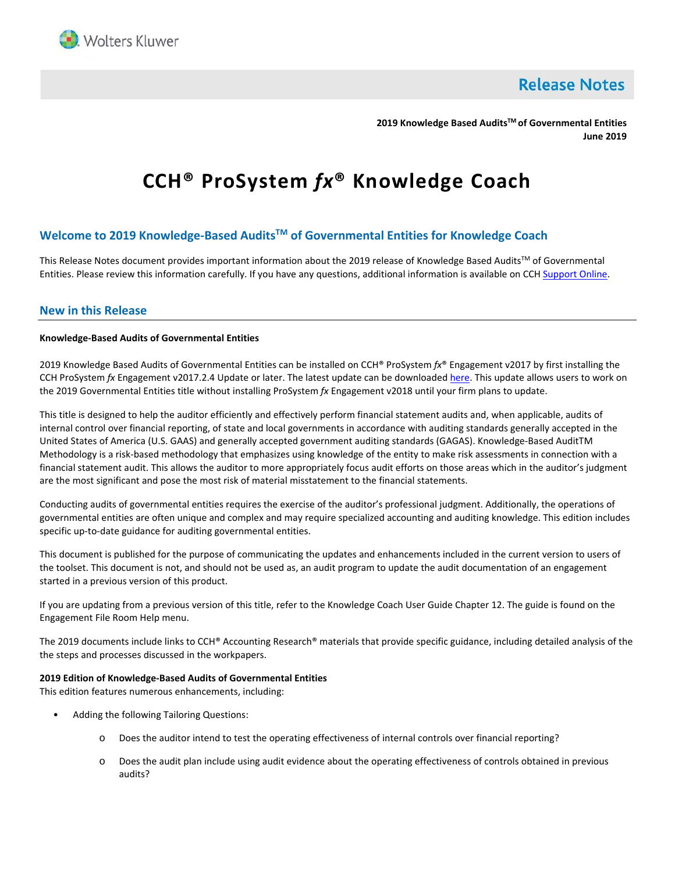

**Release Notes** 

**2019 Knowledge Based AuditsTM of Governmental Entities June 2019**

# **CCH® ProSystem** *fx***® Knowledge Coach**

# **Welcome to 2019 Knowledge-Based AuditsTM of Governmental Entities for Knowledge Coach**

This Release Notes document provides important information about the 2019 release of Knowledge Based Audits™ of Governmental Entities. Please review this information carefully. If you have any questions, additional information is available on CCH [Support Online.](http://support.cch.com/productsupport/)

## **New in this Release**

#### **Knowledge-Based Audits of Governmental Entities**

2019 Knowledge Based Audits of Governmental Entities can be installed on CCH® ProSystem *fx*® Engagement v2017 by first installing the CCH ProSystem *fx* Engagement v2017.2.4 Update or later. The latest update can be downloade[d here.](https://support.cch.com/updates/Engagement/release2017/release2017.aspx) This update allows users to work on the 2019 Governmental Entities title without installing ProSystem *fx* Engagement v2018 until your firm plans to update.

This title is designed to help the auditor efficiently and effectively perform financial statement audits and, when applicable, audits of internal control over financial reporting, of state and local governments in accordance with auditing standards generally accepted in the United States of America (U.S. GAAS) and generally accepted government auditing standards (GAGAS). Knowledge-Based AuditTM Methodology is a risk-based methodology that emphasizes using knowledge of the entity to make risk assessments in connection with a financial statement audit. This allows the auditor to more appropriately focus audit efforts on those areas which in the auditor's judgment are the most significant and pose the most risk of material misstatement to the financial statements.

Conducting audits of governmental entities requires the exercise of the auditor's professional judgment. Additionally, the operations of governmental entities are often unique and complex and may require specialized accounting and auditing knowledge. This edition includes specific up-to-date guidance for auditing governmental entities.

This document is published for the purpose of communicating the updates and enhancements included in the current version to users of the toolset. This document is not, and should not be used as, an audit program to update the audit documentation of an engagement started in a previous version of this product.

If you are updating from a previous version of this title, refer to the Knowledge Coach User Guide Chapter 12. The guide is found on the Engagement File Room Help menu.

The 2019 documents include links to CCH® Accounting Research® materials that provide specific guidance, including detailed analysis of the the steps and processes discussed in the workpapers.

#### **2019 Edition of Knowledge-Based Audits of Governmental Entities**

This edition features numerous enhancements, including:

- Adding the following Tailoring Questions:
	- o Does the auditor intend to test the operating effectiveness of internal controls over financial reporting?
	- o Does the audit plan include using audit evidence about the operating effectiveness of controls obtained in previous audits?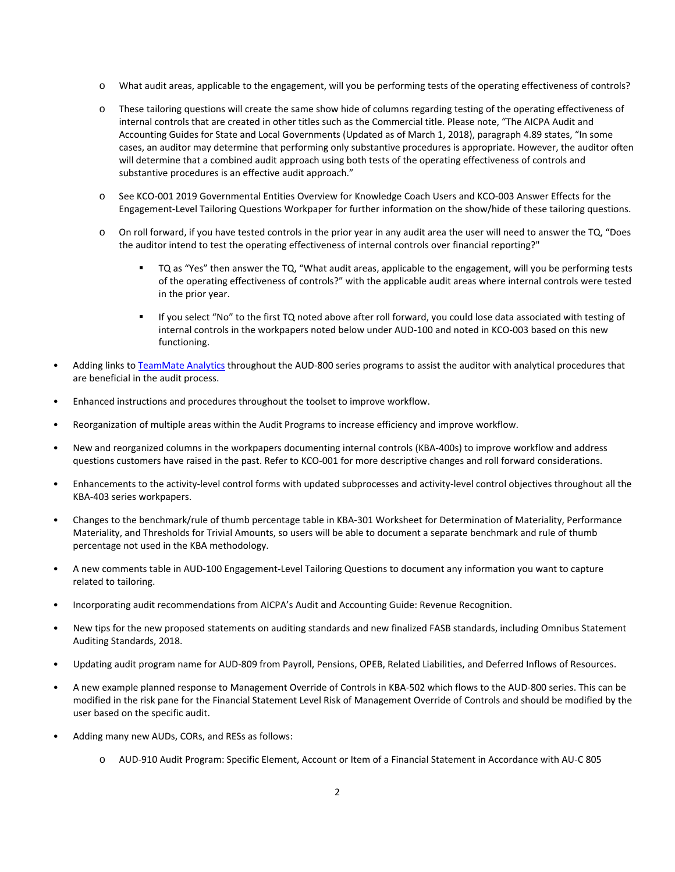- o What audit areas, applicable to the engagement, will you be performing tests of the operating effectiveness of controls?
- o These tailoring questions will create the same show hide of columns regarding testing of the operating effectiveness of internal controls that are created in other titles such as the Commercial title. Please note, "The AICPA Audit and Accounting Guides for State and Local Governments (Updated as of March 1, 2018), paragraph 4.89 states, "In some cases, an auditor may determine that performing only substantive procedures is appropriate. However, the auditor often will determine that a combined audit approach using both tests of the operating effectiveness of controls and substantive procedures is an effective audit approach."
- o See KCO-001 2019 Governmental Entities Overview for Knowledge Coach Users and KCO-003 Answer Effects for the Engagement-Level Tailoring Questions Workpaper for further information on the show/hide of these tailoring questions.
- $\circ$  On roll forward, if you have tested controls in the prior year in any audit area the user will need to answer the TQ, "Does the auditor intend to test the operating effectiveness of internal controls over financial reporting?"
	- TQ as "Yes" then answer the TQ, "What audit areas, applicable to the engagement, will you be performing tests of the operating effectiveness of controls?" with the applicable audit areas where internal controls were tested in the prior year.
	- If you select "No" to the first TQ noted above after roll forward, you could lose data associated with testing of internal controls in the workpapers noted below under AUD-100 and noted in KCO-003 based on this new functioning.
- Adding links t[o TeamMate Analytics](http://engagetax.wolterskluwer.com/l/339101/2018-03-29/2w349) throughout the AUD-800 series programs to assist the auditor with analytical procedures that are beneficial in the audit process.
- Enhanced instructions and procedures throughout the toolset to improve workflow.
- Reorganization of multiple areas within the Audit Programs to increase efficiency and improve workflow.
- New and reorganized columns in the workpapers documenting internal controls (KBA-400s) to improve workflow and address questions customers have raised in the past. Refer to KCO-001 for more descriptive changes and roll forward considerations.
- Enhancements to the activity-level control forms with updated subprocesses and activity-level control objectives throughout all the KBA-403 series workpapers.
- Changes to the benchmark/rule of thumb percentage table in KBA-301 Worksheet for Determination of Materiality, Performance Materiality, and Thresholds for Trivial Amounts, so users will be able to document a separate benchmark and rule of thumb percentage not used in the KBA methodology.
- A new comments table in AUD-100 Engagement-Level Tailoring Questions to document any information you want to capture related to tailoring.
- Incorporating audit recommendations from AICPA's Audit and Accounting Guide: Revenue Recognition.
- New tips for the new proposed statements on auditing standards and new finalized FASB standards, including Omnibus Statement Auditing Standards, 2018.
- Updating audit program name for AUD-809 from Payroll, Pensions, OPEB, Related Liabilities, and Deferred Inflows of Resources.
- A new example planned response to Management Override of Controls in KBA-502 which flows to the AUD-800 series. This can be modified in the risk pane for the Financial Statement Level Risk of Management Override of Controls and should be modified by the user based on the specific audit.
- Adding many new AUDs, CORs, and RESs as follows:
	- o AUD-910 Audit Program: Specific Element, Account or Item of a Financial Statement in Accordance with AU-C 805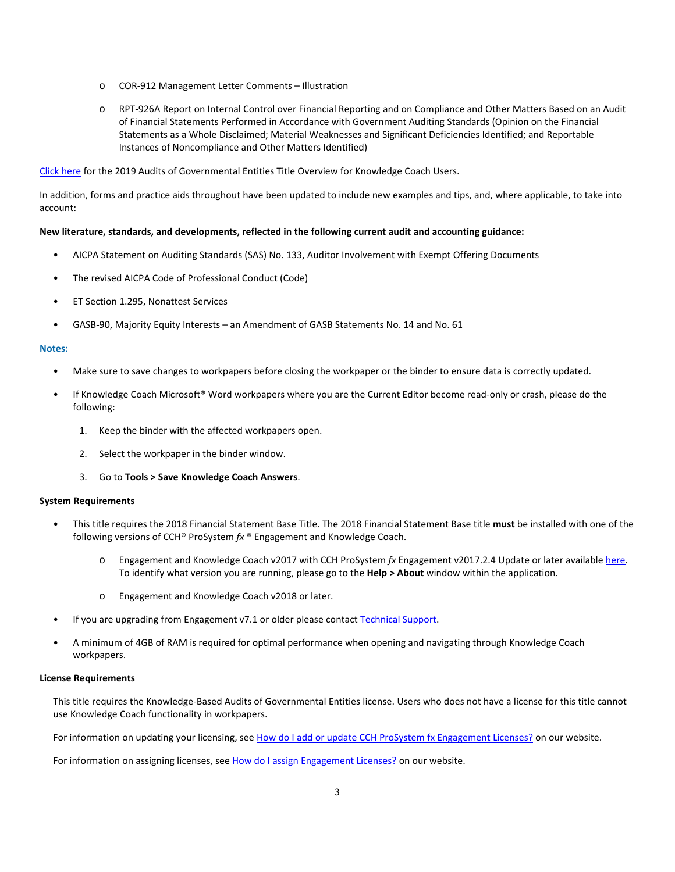- o COR-912 Management Letter Comments Illustration
- o RPT-926A Report on Internal Control over Financial Reporting and on Compliance and Other Matters Based on an Audit of Financial Statements Performed in Accordance with Government Auditing Standards (Opinion on the Financial Statements as a Whole Disclaimed; Material Weaknesses and Significant Deficiencies Identified; and Reportable Instances of Noncompliance and Other Matters Identified)

[Click here](http://support.cch.com/updates/KnowledgeCoach/pdf/guides_tab/2019%20Governmental%20Entities%20Title%20Overview%20for%20Knowledge%20Coach%20Users.pdf) for the 2019 Audits of Governmental Entities Title Overview for Knowledge Coach Users.

In addition, forms and practice aids throughout have been updated to include new examples and tips, and, where applicable, to take into account:

## **New literature, standards, and developments, reflected in the following current audit and accounting guidance:**

- AICPA Statement on Auditing Standards (SAS) No. 133, Auditor Involvement with Exempt Offering Documents
- The revised AICPA Code of Professional Conduct (Code)
- ET Section 1.295, Nonattest Services
- GASB-90, Majority Equity Interests an Amendment of GASB Statements No. 14 and No. 61

#### **Notes:**

- Make sure to save changes to workpapers before closing the workpaper or the binder to ensure data is correctly updated.
- If Knowledge Coach Microsoft® Word workpapers where you are the Current Editor become read-only or crash, please do the following:
	- 1. Keep the binder with the affected workpapers open.
	- 2. Select the workpaper in the binder window.
	- 3. Go to **Tools > Save Knowledge Coach Answers**.

#### **System Requirements**

- This title requires the 2018 Financial Statement Base Title. The 2018 Financial Statement Base title **must** be installed with one of the following versions of CCH® ProSystem *fx* ® Engagement and Knowledge Coach.
	- o Engagement and Knowledge Coach v2017 with CCH ProSystem *fx* Engagement v2017.2.4 Update or later availabl[e here.](https://support.cch.com/updates/Engagement/release2017/release2017.aspx)  To identify what version you are running, please go to the **Help > About** window within the application.
	- o Engagement and Knowledge Coach v2018 or later.
- If you are upgrading from Engagement v7.1 or older please contact [Technical Support.](https://support.cch.com/contact)
- A minimum of 4GB of RAM is required for optimal performance when opening and navigating through Knowledge Coach workpapers.

## **License Requirements**

This title requires the Knowledge-Based Audits of Governmental Entities license. Users who does not have a license for this title cannot use Knowledge Coach functionality in workpapers.

For information on updating your licensing, see [How do I add or update CCH ProSystem fx Engagement Licenses?](https://support.cch.com/kb/solution.aspx/sw3937) on our website.

For information on assigning licenses, see [How do I assign Engagement Licenses?](https://support.cch.com/kb/solution.aspx/sw3943) on our website.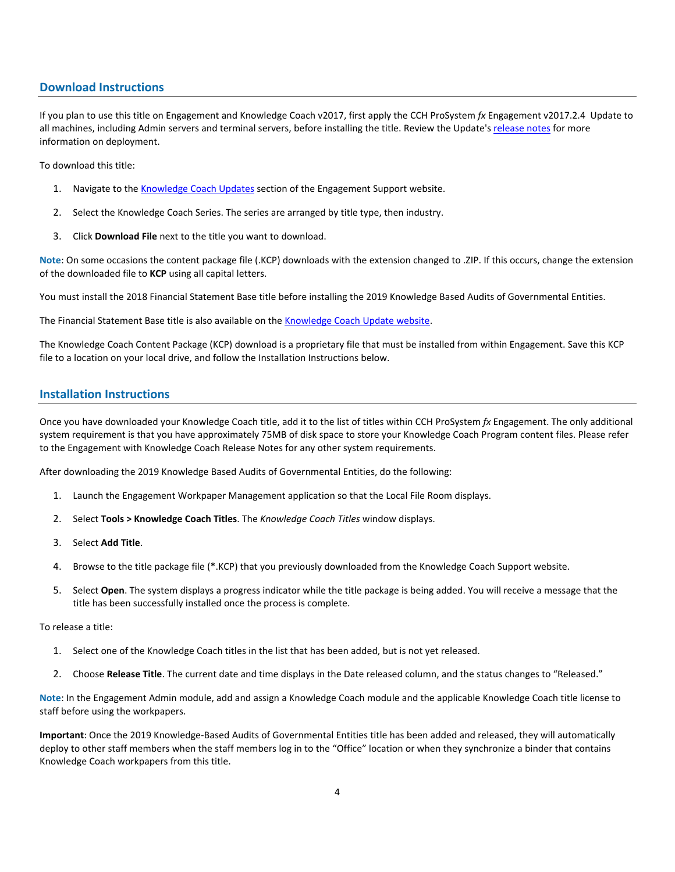# **Download Instructions**

If you plan to use this title on Engagement and Knowledge Coach v2017, first apply the CCH ProSystem *fx* Engagement v2017.2.4 Update to all machines, including Admin servers and terminal servers, before installing the title. Review the Update's [release notes](https://d2iceilwdglxpz.cloudfront.net/release_notes/CCH%20ProSystem%20fx%20Engagement%20Release%20Notes%202017.2.4.pdf) for more information on deployment.

To download this title:

- 1. Navigate to the [Knowledge Coach Updates](http://support.cch.com/updates/KnowledgeCoach) section of the Engagement Support website.
- 2. Select the Knowledge Coach Series. The series are arranged by title type, then industry.
- 3. Click **Download File** next to the title you want to download.

**Note**: On some occasions the content package file (.KCP) downloads with the extension changed to .ZIP. If this occurs, change the extension of the downloaded file to **KCP** using all capital letters.

You must install the 2018 Financial Statement Base title before installing the 2019 Knowledge Based Audits of Governmental Entities.

The Financial Statement Base title is also available on th[e Knowledge Coach Update website.](http://support.cch.com/updates/KnowledgeCoach)

The Knowledge Coach Content Package (KCP) download is a proprietary file that must be installed from within Engagement. Save this KCP file to a location on your local drive, and follow the Installation Instructions below.

# **Installation Instructions**

Once you have downloaded your Knowledge Coach title, add it to the list of titles within CCH ProSystem *fx* Engagement. The only additional system requirement is that you have approximately 75MB of disk space to store your Knowledge Coach Program content files. Please refer to the Engagement with Knowledge Coach Release Notes for any other system requirements.

After downloading the 2019 Knowledge Based Audits of Governmental Entities, do the following:

- 1. Launch the Engagement Workpaper Management application so that the Local File Room displays.
- 2. Select **Tools > Knowledge Coach Titles**. The *Knowledge Coach Titles* window displays.
- 3. Select **Add Title**.
- 4. Browse to the title package file (\*.KCP) that you previously downloaded from the Knowledge Coach Support website.
- 5. Select **Open**. The system displays a progress indicator while the title package is being added. You will receive a message that the title has been successfully installed once the process is complete.

To release a title:

- 1. Select one of the Knowledge Coach titles in the list that has been added, but is not yet released.
- 2. Choose **Release Title**. The current date and time displays in the Date released column, and the status changes to "Released."

**Note**: In the Engagement Admin module, add and assign a Knowledge Coach module and the applicable Knowledge Coach title license to staff before using the workpapers.

**Important**: Once the 2019 Knowledge-Based Audits of Governmental Entities title has been added and released, they will automatically deploy to other staff members when the staff members log in to the "Office" location or when they synchronize a binder that contains Knowledge Coach workpapers from this title.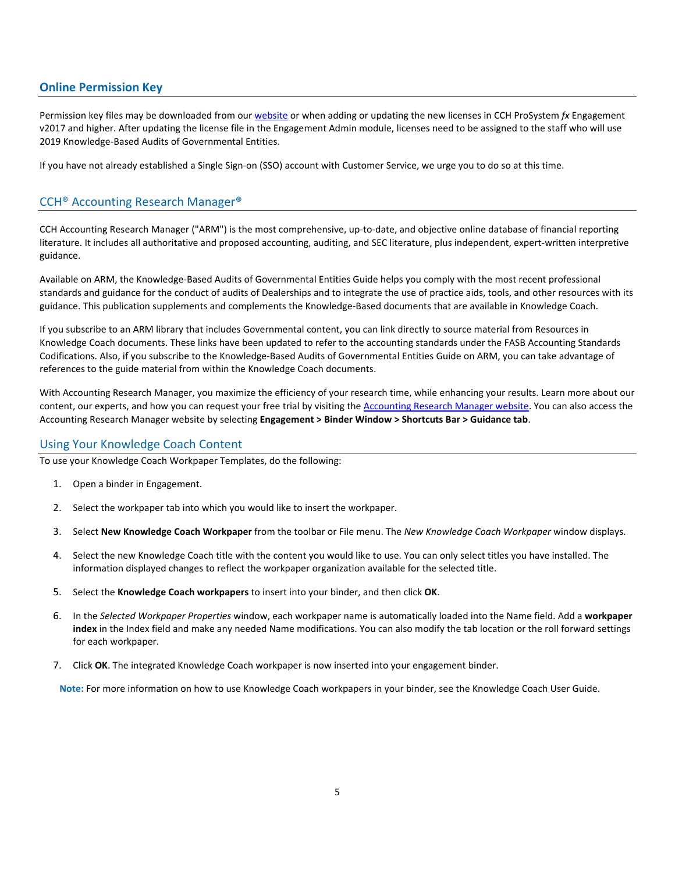# **Online Permission Key**

Permission key files may be downloaded from our [website](https://prosystemfxsupport.tax.cchgroup.com/permkey/download.aspx) or when adding or updating the new licenses in CCH ProSystem *fx* Engagement v2017 and higher. After updating the license file in the Engagement Admin module, licenses need to be assigned to the staff who will use 2019 Knowledge-Based Audits of Governmental Entities.

If you have not already established a Single Sign-on (SSO) account with Customer Service, we urge you to do so at this time.

# CCH® Accounting Research Manager®

CCH Accounting Research Manager ("ARM") is the most comprehensive, up-to-date, and objective online database of financial reporting literature. It includes all authoritative and proposed accounting, auditing, and SEC literature, plus independent, expert-written interpretive guidance.

Available on ARM, the Knowledge-Based Audits of Governmental Entities Guide helps you comply with the most recent professional standards and guidance for the conduct of audits of Dealerships and to integrate the use of practice aids, tools, and other resources with its guidance. This publication supplements and complements the Knowledge-Based documents that are available in Knowledge Coach.

If you subscribe to an ARM library that includes Governmental content, you can link directly to source material from Resources in Knowledge Coach documents. These links have been updated to refer to the accounting standards under the FASB Accounting Standards Codifications. Also, if you subscribe to the Knowledge-Based Audits of Governmental Entities Guide on ARM, you can take advantage of references to the guide material from within the Knowledge Coach documents.

With Accounting Research Manager, you maximize the efficiency of your research time, while enhancing your results. Learn more about our content, our experts, and how you can request your free trial by visiting the [Accounting Research Manager website.](http://www.accountingresearchmanager.com/) You can also access the Accounting Research Manager website by selecting **Engagement > Binder Window > Shortcuts Bar > Guidance tab**.

## Using Your Knowledge Coach Content

To use your Knowledge Coach Workpaper Templates, do the following:

- 1. Open a binder in Engagement.
- 2. Select the workpaper tab into which you would like to insert the workpaper.
- 3. Select **New Knowledge Coach Workpaper** from the toolbar or File menu. The *New Knowledge Coach Workpaper* window displays.
- 4. Select the new Knowledge Coach title with the content you would like to use. You can only select titles you have installed. The information displayed changes to reflect the workpaper organization available for the selected title.
- 5. Select the **Knowledge Coach workpapers** to insert into your binder, and then click **OK**.
- 6. In the *Selected Workpaper Properties* window, each workpaper name is automatically loaded into the Name field. Add a **workpaper index** in the Index field and make any needed Name modifications. You can also modify the tab location or the roll forward settings for each workpaper.
- 7. Click **OK**. The integrated Knowledge Coach workpaper is now inserted into your engagement binder.

**Note:** For more information on how to use Knowledge Coach workpapers in your binder, see the Knowledge Coach User Guide.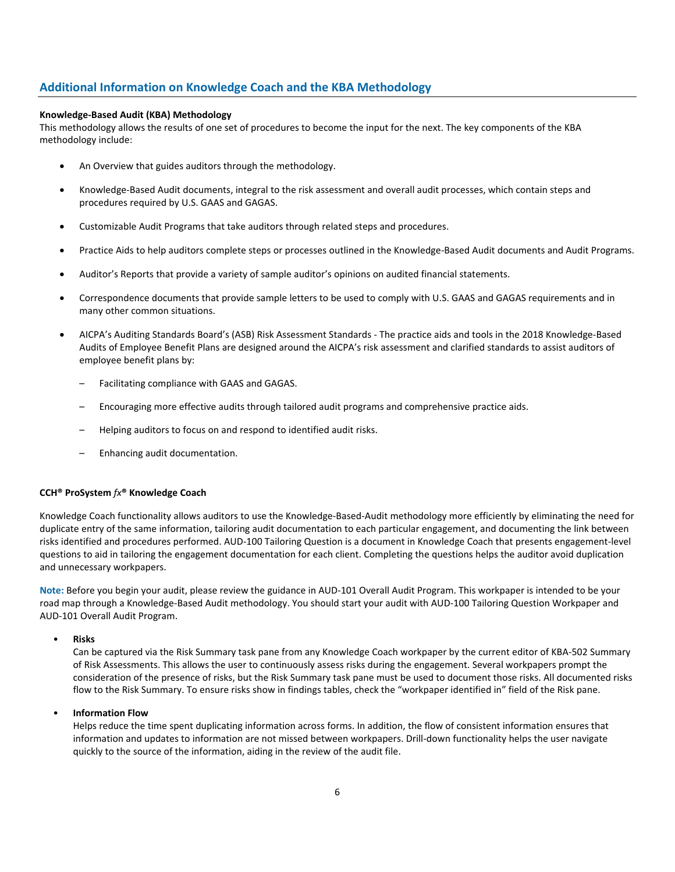# **Additional Information on Knowledge Coach and the KBA Methodology**

### **Knowledge-Based Audit (KBA) Methodology**

This methodology allows the results of one set of procedures to become the input for the next. The key components of the KBA methodology include:

- An Overview that guides auditors through the methodology.
- Knowledge-Based Audit documents, integral to the risk assessment and overall audit processes, which contain steps and procedures required by U.S. GAAS and GAGAS.
- Customizable Audit Programs that take auditors through related steps and procedures.
- Practice Aids to help auditors complete steps or processes outlined in the Knowledge-Based Audit documents and Audit Programs.
- Auditor's Reports that provide a variety of sample auditor's opinions on audited financial statements.
- Correspondence documents that provide sample letters to be used to comply with U.S. GAAS and GAGAS requirements and in many other common situations.
- AICPA's Auditing Standards Board's (ASB) Risk Assessment Standards The practice aids and tools in the 2018 Knowledge-Based Audits of Employee Benefit Plans are designed around the AICPA's risk assessment and clarified standards to assist auditors of employee benefit plans by:
	- Facilitating compliance with GAAS and GAGAS.
	- Encouraging more effective audits through tailored audit programs and comprehensive practice aids.
	- Helping auditors to focus on and respond to identified audit risks.
	- Enhancing audit documentation.

#### **CCH® ProSystem** *fx***® Knowledge Coach**

Knowledge Coach functionality allows auditors to use the Knowledge-Based-Audit methodology more efficiently by eliminating the need for duplicate entry of the same information, tailoring audit documentation to each particular engagement, and documenting the link between risks identified and procedures performed. AUD-100 Tailoring Question is a document in Knowledge Coach that presents engagement-level questions to aid in tailoring the engagement documentation for each client. Completing the questions helps the auditor avoid duplication and unnecessary workpapers.

**Note:** Before you begin your audit, please review the guidance in AUD-101 Overall Audit Program. This workpaper is intended to be your road map through a Knowledge-Based Audit methodology. You should start your audit with AUD-100 Tailoring Question Workpaper and AUD-101 Overall Audit Program.

• **Risks**

Can be captured via the Risk Summary task pane from any Knowledge Coach workpaper by the current editor of KBA-502 Summary of Risk Assessments. This allows the user to continuously assess risks during the engagement. Several workpapers prompt the consideration of the presence of risks, but the Risk Summary task pane must be used to document those risks. All documented risks flow to the Risk Summary. To ensure risks show in findings tables, check the "workpaper identified in" field of the Risk pane.

#### • **Information Flow**

Helps reduce the time spent duplicating information across forms. In addition, the flow of consistent information ensures that information and updates to information are not missed between workpapers. Drill-down functionality helps the user navigate quickly to the source of the information, aiding in the review of the audit file.